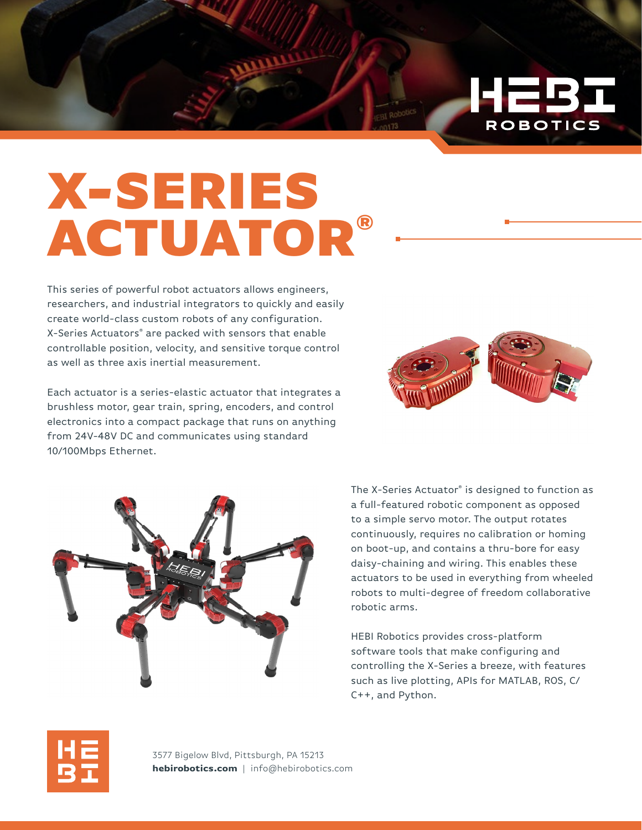

This series of powerful robot actuators allows engineers, researchers, and industrial integrators to quickly and easily create world-class custom robots of any configuration. X-Series Actuators® are packed with sensors that enable controllable position, velocity, and sensitive torque control as well as three axis inertial measurement.

Each actuator is a series-elastic actuator that integrates a brushless motor, gear train, spring, encoders, and control electronics into a compact package that runs on anything from 24V-48V DC and communicates using standard 10/100Mbps Ethernet.



HEB)

**ROBOTICS** 



The X-Series Actuator® is designed to function as a full-featured robotic component as opposed to a simple servo motor. The output rotates continuously, requires no calibration or homing on boot-up, and contains a thru-bore for easy daisy-chaining and wiring. This enables these actuators to be used in everything from wheeled robots to multi-degree of freedom collaborative robotic arms.

HEBI Robotics provides cross-platform software tools that make configuring and controlling the X-Series a breeze, with features such as live plotting, APIs for MATLAB, ROS, C/ C++, and Python.



3577 Bigelow Blvd, Pittsburgh, PA 15213 **hebirobotics.com** | info@hebirobotics.com